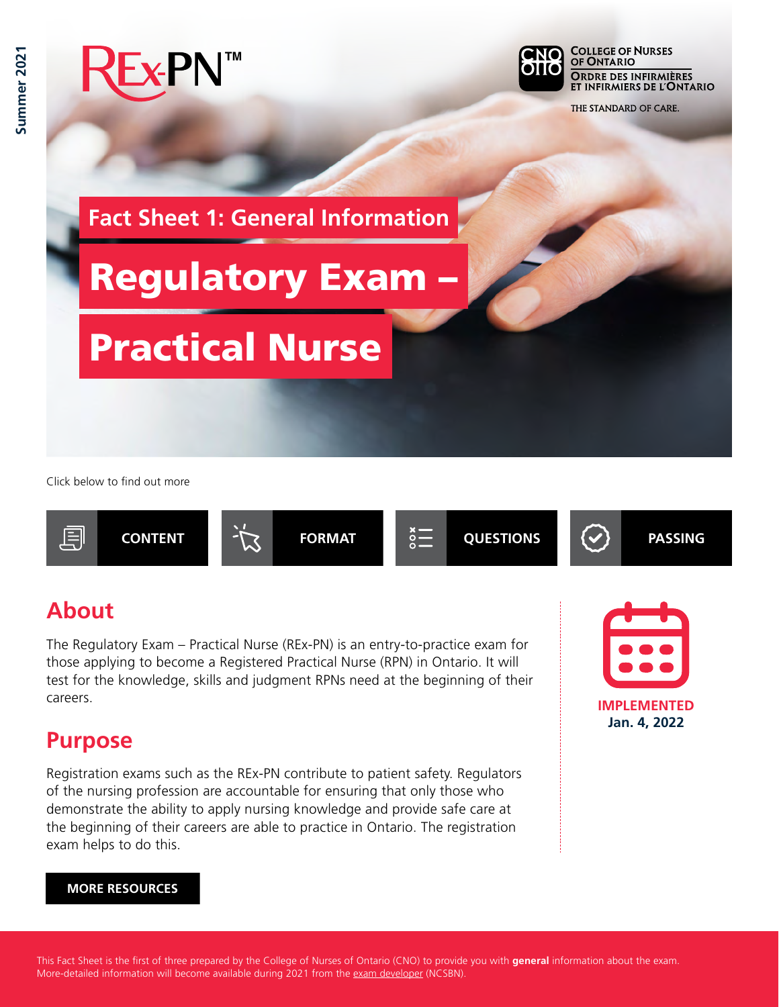

Click below to find out more



### **About**

The Regulatory Exam – Practical Nurse (REx-PN) is an entry-to-practice exam for those applying to become a Registered Practical Nurse (RPN) in Ontario. It will test for the knowledge, skills and judgment RPNs need at the beginning of their careers.

#### **Purpose**

Registration exams such as the REx-PN contribute to patient safety. Regulators of the nursing profession are accountable for ensuring that only those who demonstrate the ability to apply nursing knowledge and provide safe care at the beginning of their careers are able to practice in Ontario. The registration exam helps to do this.



#### **MORE RESOURCES**

This Fact Sheet is the first of three prepared by the College of Nurses of Ontario (CNO) to provide you with **general** information about the exam. More-detailed information will become available during 2021 from the [exam developer](https://www.ncsbn.org/rex-pn.htm) (NCSBN).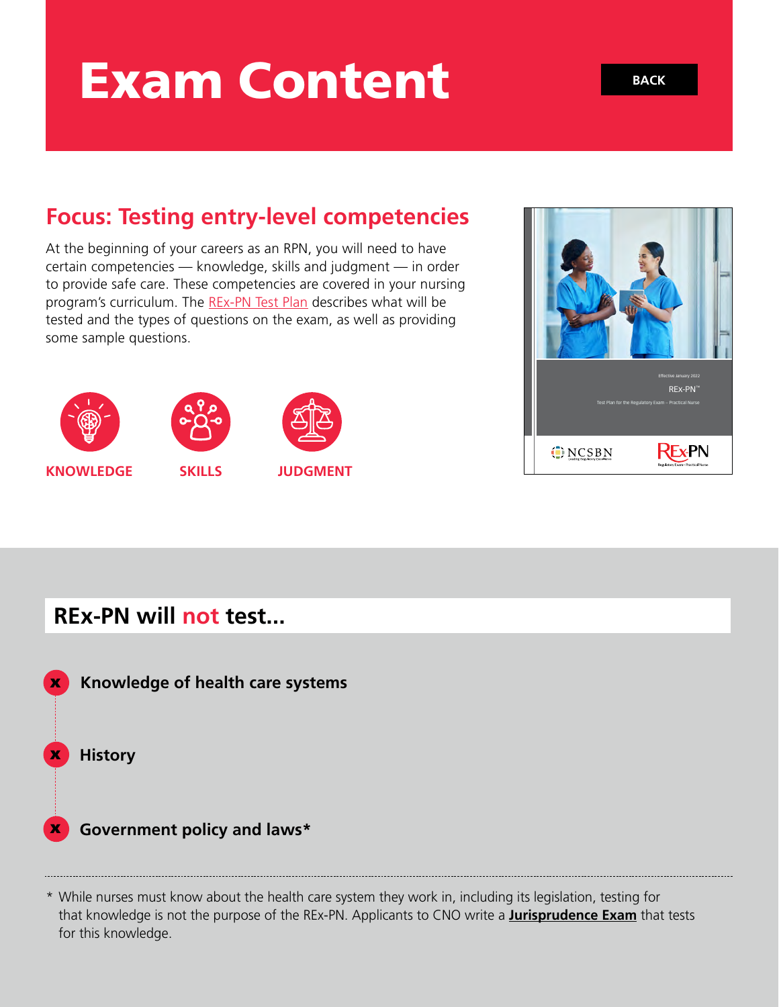# Exam Content

### **Focus: Testing entry-level competencies**

At the beginning of your careers as an RPN, you will need to have certain competencies — knowledge, skills and judgment — in order to provide safe care. These competencies are covered in your nursing program's curriculum. The [REx-PN Test Plan](https://www.ncsbn.org/2022_RExPN_FINAL.pdf) describes what will be tested and the types of questions on the exam, as well as providing some sample questions.





**KNOWLEDGE SKILLS JUDGMENT** 



#### **REx-PN will not test...**



\* While nurses must know about the health care system they work in, including its legislation, testing for that knowledge is not the purpose of the REx-PN. Applicants to CNO write a **[Jurisprudence Exam](https://www.cno.org/en/become-a-nurse/entry-to-practice-examinations/jurisprudence-examination/)** that tests for this knowledge.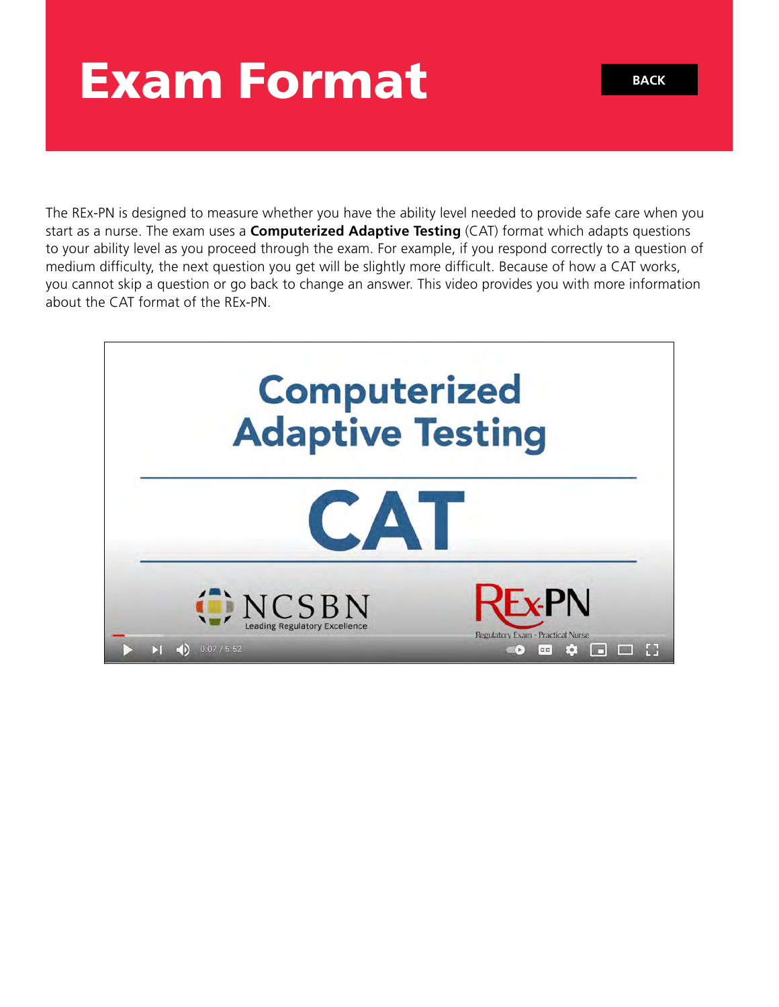### Exam Format

The REx-PN is designed to measure whether you have the ability level needed to provide safe care when you start as a nurse. The exam uses a **Computerized Adaptive Testing** (CAT) format which adapts questions to your ability level as you proceed through the exam. For example, if you respond correctly to a question of medium difficulty, the next question you get will be slightly more difficult. Because of how a CAT works, you cannot skip a question or go back to change an answer. This video provides you with more information about the CAT format of the REx-PN.

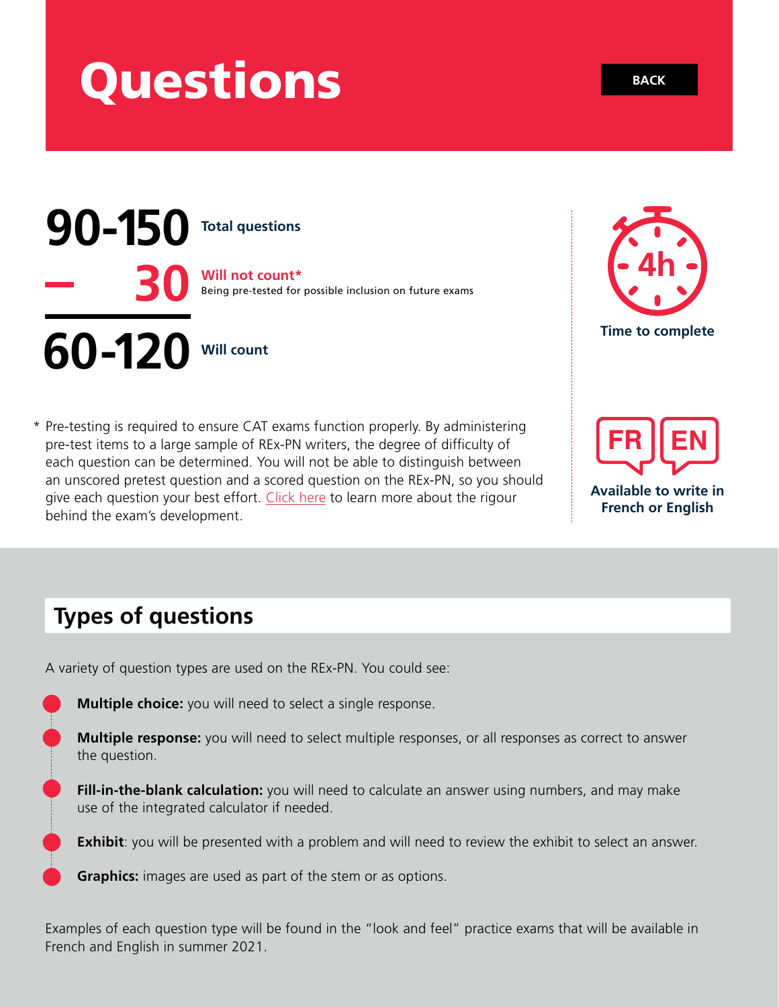### Questions



\* Pre-testing is required to ensure CAT exams function properly. By administering pre-test items to a large sample of REx-PN writers, the degree of difficulty of each question can be determined. You will not be able to distinguish between an unscored pretest question and a scored question on the REx-PN, so you should give each question your best effort. [Click here](https://www.ncsbn.org/13764.htm) to learn more about the rigour behind the exam's development.



**EN**

**Available to write in French or English** 

### **Types of questions**

A variety of question types are used on the REx-PN. You could see:

**Multiple choice:** you will need to select a single response.

**Multiple response:** you will need to select multiple responses, or all responses as correct to answer the question.

**Fill-in-the-blank calculation:** you will need to calculate an answer using numbers, and may make use of the integrated calculator if needed.

**Exhibit**: you will be presented with a problem and will need to review the exhibit to select an answer.

**Graphics:** images are used as part of the stem or as options.

Examples of each question type will be found in the "look and feel" practice exams that will be available in French and English in summer 2021.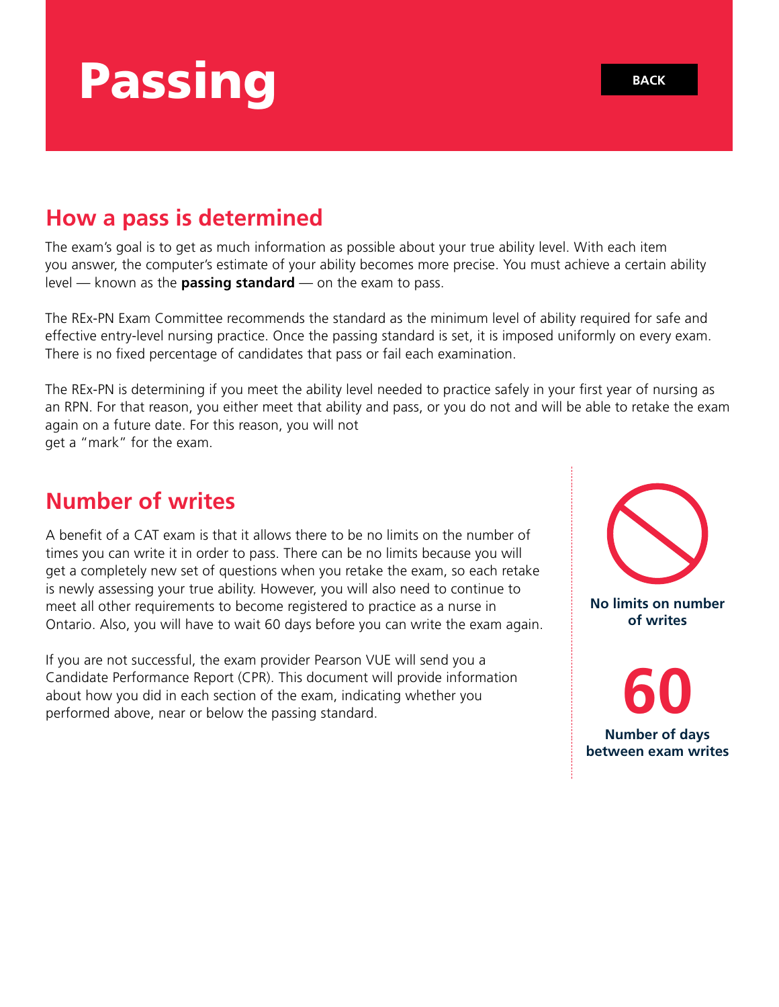# Passing

### **How a pass is determined**

The exam's goal is to get as much information as possible about your true ability level. With each item you answer, the computer's estimate of your ability becomes more precise. You must achieve a certain ability level — known as the **passing standard** — on the exam to pass.

The REx-PN Exam Committee recommends the standard as the minimum level of ability required for safe and effective entry-level nursing practice. Once the passing standard is set, it is imposed uniformly on every exam. There is no fixed percentage of candidates that pass or fail each examination.

The REx-PN is determining if you meet the ability level needed to practice safely in your first year of nursing as an RPN. For that reason, you either meet that ability and pass, or you do not and will be able to retake the exam again on a future date. For this reason, you will not get a "mark" for the exam.

### **Number of writes**

A benefit of a CAT exam is that it allows there to be no limits on the number of times you can write it in order to pass. There can be no limits because you will get a completely new set of questions when you retake the exam, so each retake is newly assessing your true ability. However, you will also need to continue to meet all other requirements to become registered to practice as a nurse in Ontario. Also, you will have to wait 60 days before you can write the exam again.

If you are not successful, the exam provider Pearson VUE will send you a Candidate Performance Report (CPR). This document will provide information about how you did in each section of the exam, indicating whether you performed above, near or below the passing standard.



**No limits on number of writes** 

**60 Number of days between exam writes**